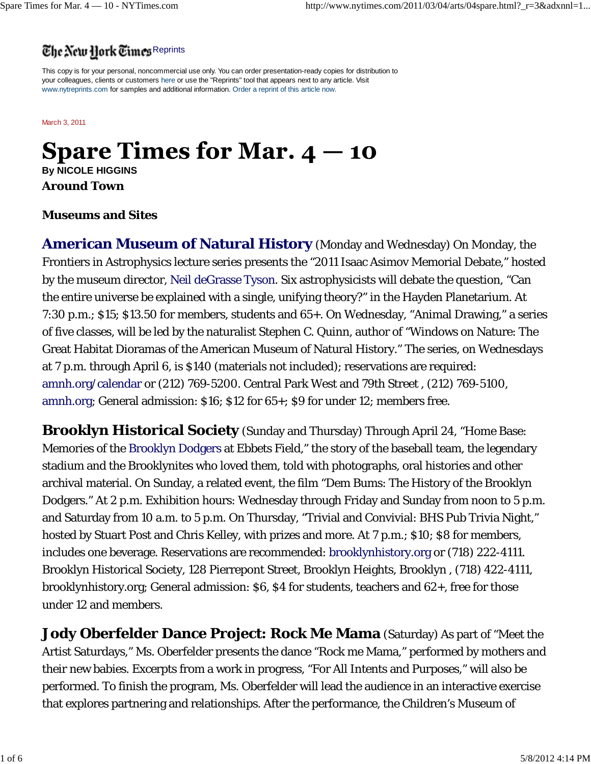## The New Hork Times Reprints

This copy is for your personal, noncommercial use only. You can order presentation-ready copies for distribution to your colleagues, clients or customers here or use the "Reprints" tool that appears next to any article. Visit www.nytreprints.com for samples and additional information. Order a reprint of this article now.

March 3, 2011

# **Spare Times for Mar.**  $4 - 10$

**By NICOLE HIGGINS**

**Around Town**

#### **Museums and Sites**

**American Museum of Natural History** (Monday and Wednesday) On Monday, the Frontiers in Astrophysics lecture series presents the "2011 Isaac Asimov Memorial Debate," hosted by the museum director, Neil deGrasse Tyson. Six astrophysicists will debate the question, "Can the entire universe be explained with a single, unifying theory?" in the Hayden Planetarium. At 7:30 p.m.; \$15; \$13.50 for members, students and 65+. On Wednesday, "Animal Drawing," a series of five classes, will be led by the naturalist Stephen C. Quinn, author of "Windows on Nature: The Great Habitat Dioramas of the American Museum of Natural History." The series, on Wednesdays at 7 p.m. through April 6, is \$140 (materials not included); reservations are required: amnh.org/calendar or (212) 769-5200. Central Park West and 79th Street , (212) 769-5100, amnh.org; General admission: \$16; \$12 for 65+; \$9 for under 12; members free.

**Brooklyn Historical Society** (Sunday and Thursday) Through April 24, "Home Base: Memories of the Brooklyn Dodgers at Ebbets Field," the story of the baseball team, the legendary stadium and the Brooklynites who loved them, told with photographs, oral histories and other archival material. On Sunday, a related event, the film "Dem Bums: The History of the Brooklyn Dodgers." At 2 p.m. Exhibition hours: Wednesday through Friday and Sunday from noon to 5 p.m. and Saturday from 10 a.m. to 5 p.m. On Thursday, "Trivial and Convivial: BHS Pub Trivia Night," hosted by Stuart Post and Chris Kelley, with prizes and more. At 7 p.m.; \$10; \$8 for members, includes one beverage. Reservations are recommended: brooklynhistory.org or (718) 222-4111. Brooklyn Historical Society, 128 Pierrepont Street, Brooklyn Heights, Brooklyn , (718) 422-4111, brooklynhistory.org; General admission: \$6, \$4 for students, teachers and 62+, free for those under 12 and members.

**Jody Oberfelder Dance Project: Rock Me Mama** (Saturday) As part of "Meet the Artist Saturdays," Ms. Oberfelder presents the dance "Rock me Mama," performed by mothers and their new babies. Excerpts from a work in progress, "For All Intents and Purposes," will also be performed. To finish the program, Ms. Oberfelder will lead the audience in an interactive exercise that explores partnering and relationships. After the performance, the Children's Museum of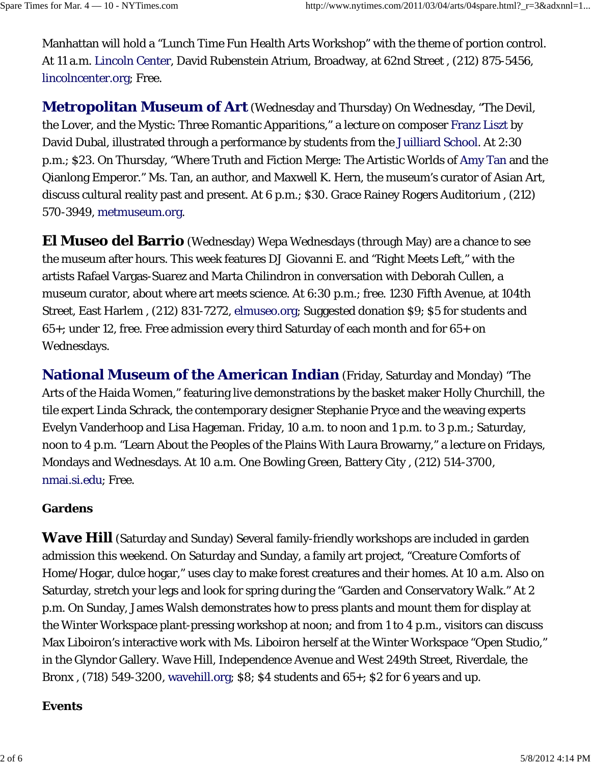Manhattan will hold a "Lunch Time Fun Health Arts Workshop" with the theme of portion control. At 11 a.m. Lincoln Center, David Rubenstein Atrium, Broadway, at 62nd Street , (212) 875-5456, lincolncenter.org; Free.

**Metropolitan Museum of Art** (Wednesday and Thursday) On Wednesday, "The Devil, the Lover, and the Mystic: Three Romantic Apparitions," a lecture on composer Franz Liszt by David Dubal, illustrated through a performance by students from the Juilliard School. At 2:30 p.m.; \$23. On Thursday, "Where Truth and Fiction Merge: The Artistic Worlds of Amy Tan and the Qianlong Emperor." Ms. Tan, an author, and Maxwell K. Hern, the museum's curator of Asian Art, discuss cultural reality past and present. At 6 p.m.; \$30. Grace Rainey Rogers Auditorium , (212) 570-3949, metmuseum.org.

**El Museo del Barrio** (Wednesday) Wepa Wednesdays (through May) are a chance to see the museum after hours. This week features DJ Giovanni E. and "Right Meets Left," with the artists Rafael Vargas-Suarez and Marta Chilindron in conversation with Deborah Cullen, a museum curator, about where art meets science. At 6:30 p.m.; free. 1230 Fifth Avenue, at 104th Street, East Harlem , (212) 831-7272, elmuseo.org; Suggested donation \$9; \$5 for students and 65+; under 12, free. Free admission every third Saturday of each month and for 65+ on Wednesdays.

**National Museum of the American Indian** (Friday, Saturday and Monday) "The Arts of the Haida Women," featuring live demonstrations by the basket maker Holly Churchill, the tile expert Linda Schrack, the contemporary designer Stephanie Pryce and the weaving experts Evelyn Vanderhoop and Lisa Hageman. Friday, 10 a.m. to noon and 1 p.m. to 3 p.m.; Saturday, noon to 4 p.m. "Learn About the Peoples of the Plains With Laura Browarny," a lecture on Fridays, Mondays and Wednesdays. At 10 a.m. One Bowling Green, Battery City , (212) 514-3700, nmai.si.edu; Free.

#### **Gardens**

**Wave Hill** (Saturday and Sunday) Several family-friendly workshops are included in garden admission this weekend. On Saturday and Sunday, a family art project, "Creature Comforts of Home/Hogar, dulce hogar," uses clay to make forest creatures and their homes. At 10 a.m. Also on Saturday, stretch your legs and look for spring during the "Garden and Conservatory Walk." At 2 p.m. On Sunday, James Walsh demonstrates how to press plants and mount them for display at the Winter Workspace plant-pressing workshop at noon; and from 1 to 4 p.m., visitors can discuss Max Liboiron's interactive work with Ms. Liboiron herself at the Winter Workspace "Open Studio," in the Glyndor Gallery. Wave Hill, Independence Avenue and West 249th Street, Riverdale, the Bronx , (718) 549-3200, wavehill.org; \$8; \$4 students and 65+; \$2 for 6 years and up.

#### **Events**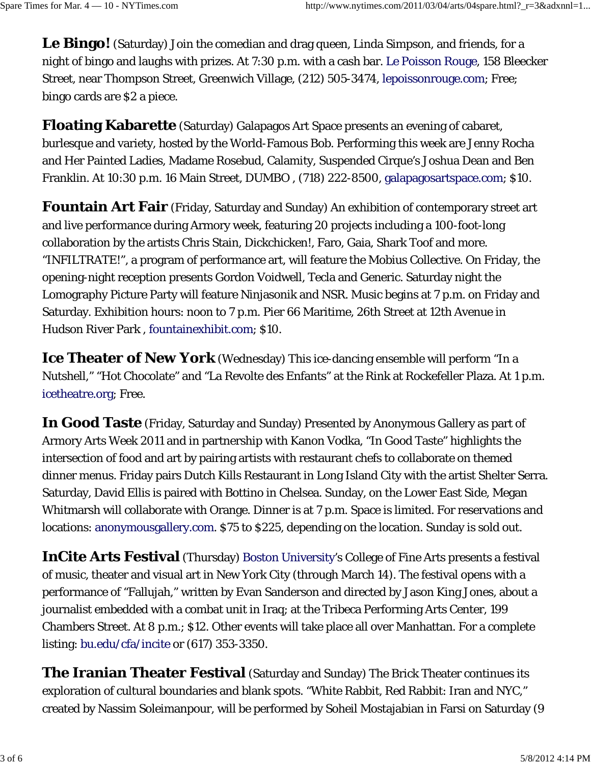**Le Bingo!** (Saturday) Join the comedian and drag queen, Linda Simpson, and friends, for a night of bingo and laughs with prizes. At 7:30 p.m. with a cash bar. Le Poisson Rouge, 158 Bleecker Street, near Thompson Street, Greenwich Village, (212) 505-3474, lepoissonrouge.com; Free; bingo cards are \$2 a piece.

**Floating Kabarette** (Saturday) Galapagos Art Space presents an evening of cabaret, burlesque and variety, hosted by the World-Famous Bob. Performing this week are Jenny Rocha and Her Painted Ladies, Madame Rosebud, Calamity, Suspended Cirque's Joshua Dean and Ben Franklin. At 10:30 p.m. 16 Main Street, DUMBO , (718) 222-8500, galapagosartspace.com; \$10.

**Fountain Art Fair** (Friday, Saturday and Sunday) An exhibition of contemporary street art and live performance during Armory week, featuring 20 projects including a 100-foot-long collaboration by the artists Chris Stain, Dickchicken!, Faro, Gaia, Shark Toof and more. "INFILTRATE!", a program of performance art, will feature the Mobius Collective. On Friday, the opening-night reception presents Gordon Voidwell, Tecla and Generic. Saturday night the Lomography Picture Party will feature Ninjasonik and NSR. Music begins at 7 p.m. on Friday and Saturday. Exhibition hours: noon to 7 p.m. Pier 66 Maritime, 26th Street at 12th Avenue in Hudson River Park , fountainexhibit.com; \$10.

**Ice Theater of New York** (Wednesday) This ice-dancing ensemble will perform "In a Nutshell," "Hot Chocolate" and "La Revolte des Enfants" at the Rink at Rockefeller Plaza. At 1 p.m. icetheatre.org; Free.

**In Good Taste** (Friday, Saturday and Sunday) Presented by Anonymous Gallery as part of Armory Arts Week 2011 and in partnership with Kanon Vodka, "In Good Taste" highlights the intersection of food and art by pairing artists with restaurant chefs to collaborate on themed dinner menus. Friday pairs Dutch Kills Restaurant in Long Island City with the artist Shelter Serra. Saturday, David Ellis is paired with Bottino in Chelsea. Sunday, on the Lower East Side, Megan Whitmarsh will collaborate with Orange. Dinner is at 7 p.m. Space is limited. For reservations and locations: anonymousgallery.com. \$75 to \$225, depending on the location. Sunday is sold out.

**InCite Arts Festival** (Thursday) Boston University's College of Fine Arts presents a festival of music, theater and visual art in New York City (through March 14). The festival opens with a performance of "Fallujah," written by Evan Sanderson and directed by Jason King Jones, about a journalist embedded with a combat unit in Iraq; at the Tribeca Performing Arts Center, 199 Chambers Street. At 8 p.m.; \$12. Other events will take place all over Manhattan. For a complete listing: bu.edu/cfa/incite or (617) 353-3350.

**The Iranian Theater Festival** (Saturday and Sunday) The Brick Theater continues its exploration of cultural boundaries and blank spots. "White Rabbit, Red Rabbit: Iran and NYC," created by Nassim Soleimanpour, will be performed by Soheil Mostajabian in Farsi on Saturday (9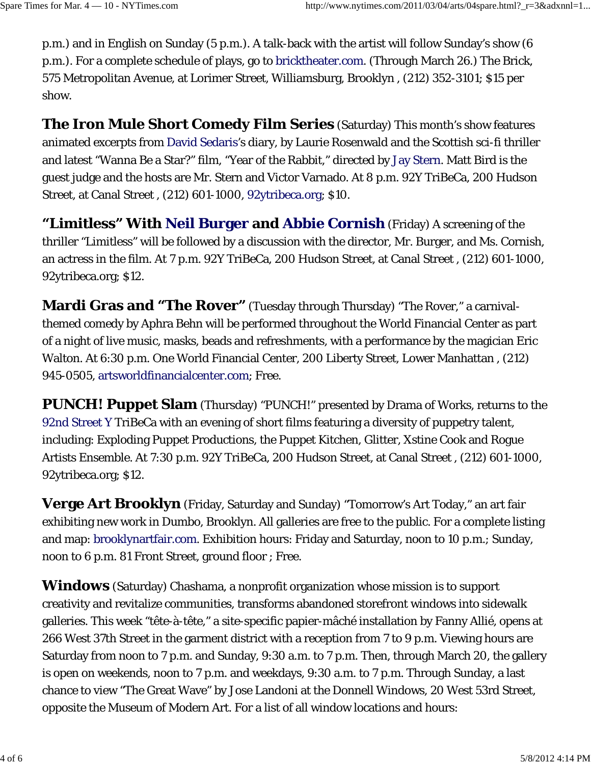p.m.) and in English on Sunday (5 p.m.). A talk-back with the artist will follow Sunday's show (6 p.m.). For a complete schedule of plays, go to bricktheater.com. (Through March 26.) The Brick, 575 Metropolitan Avenue, at Lorimer Street, Williamsburg, Brooklyn , (212) 352-3101; \$15 per show.

**The Iron Mule Short Comedy Film Series** (Saturday) This month's show features animated excerpts from David Sedaris's diary, by Laurie Rosenwald and the Scottish sci-fi thriller and latest "Wanna Be a Star?" film, "Year of the Rabbit," directed by Jay Stern. Matt Bird is the guest judge and the hosts are Mr. Stern and Victor Varnado. At 8 p.m. 92Y TriBeCa, 200 Hudson Street, at Canal Street , (212) 601-1000, 92ytribeca.org; \$10.

**"Limitless" With Neil Burger and Abbie Cornish** (Friday) A screening of the thriller "Limitless" will be followed by a discussion with the director, Mr. Burger, and Ms. Cornish, an actress in the film. At 7 p.m. 92Y TriBeCa, 200 Hudson Street, at Canal Street , (212) 601-1000, 92ytribeca.org; \$12.

**Mardi Gras and "The Rover"** (Tuesday through Thursday) "The Rover," a carnivalthemed comedy by Aphra Behn will be performed throughout the World Financial Center as part of a night of live music, masks, beads and refreshments, with a performance by the magician Eric Walton. At 6:30 p.m. One World Financial Center, 200 Liberty Street, Lower Manhattan , (212) 945-0505, artsworldfinancialcenter.com; Free.

**PUNCH! Puppet Slam** (Thursday) "PUNCH!" presented by Drama of Works, returns to the 92nd Street Y TriBeCa with an evening of short films featuring a diversity of puppetry talent, including: Exploding Puppet Productions, the Puppet Kitchen, Glitter, Xstine Cook and Rogue Artists Ensemble. At 7:30 p.m. 92Y TriBeCa, 200 Hudson Street, at Canal Street , (212) 601-1000, 92ytribeca.org; \$12.

**Verge Art Brooklyn** (Friday, Saturday and Sunday) "Tomorrow's Art Today," an art fair exhibiting new work in Dumbo, Brooklyn. All galleries are free to the public. For a complete listing and map: brooklynartfair.com. Exhibition hours: Friday and Saturday, noon to 10 p.m.; Sunday, noon to 6 p.m. 81 Front Street, ground floor ; Free.

**Windows** (Saturday) Chashama, a nonprofit organization whose mission is to support creativity and revitalize communities, transforms abandoned storefront windows into sidewalk galleries. This week "tête-à-tête," a site-specific papier-mâché installation by Fanny Allié, opens at 266 West 37th Street in the garment district with a reception from 7 to 9 p.m. Viewing hours are Saturday from noon to 7 p.m. and Sunday, 9:30 a.m. to 7 p.m. Then, through March 20, the gallery is open on weekends, noon to 7 p.m. and weekdays, 9:30 a.m. to 7 p.m. Through Sunday, a last chance to view "The Great Wave" by Jose Landoni at the Donnell Windows, 20 West 53rd Street, opposite the Museum of Modern Art. For a list of all window locations and hours: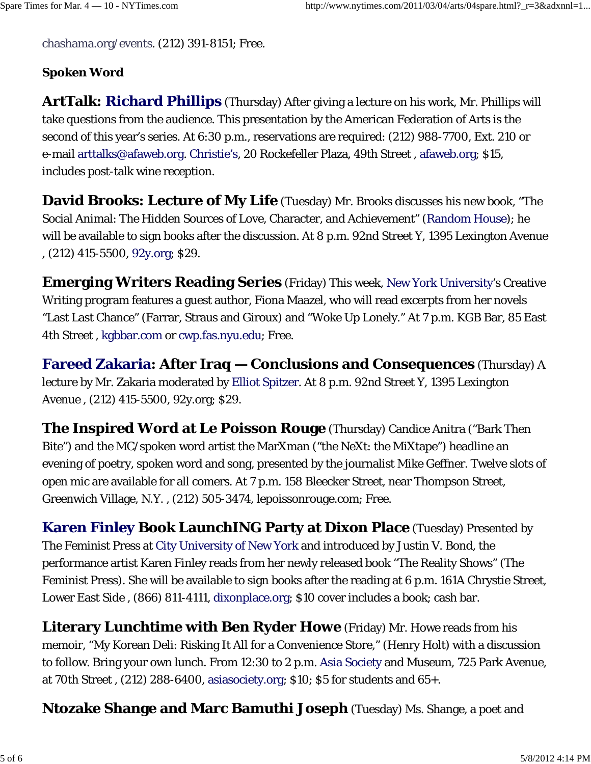chashama.org/events. (212) 391-8151; Free.

## **Spoken Word**

**ArtTalk: Richard Phillips** (Thursday) After giving a lecture on his work, Mr. Phillips will take questions from the audience. This presentation by the American Federation of Arts is the second of this year's series. At 6:30 p.m., reservations are required: (212) 988-7700, Ext. 210 or e-mail arttalks@afaweb.org. Christie's, 20 Rockefeller Plaza, 49th Street , afaweb.org; \$15, includes post-talk wine reception.

**David Brooks: Lecture of My Life** (Tuesday) Mr. Brooks discusses his new book, "The Social Animal: The Hidden Sources of Love, Character, and Achievement" (Random House); he will be available to sign books after the discussion. At 8 p.m. 92nd Street Y, 1395 Lexington Avenue , (212) 415-5500, 92y.org; \$29.

**Emerging Writers Reading Series** (Friday) This week, New York University's Creative Writing program features a guest author, Fiona Maazel, who will read excerpts from her novels "Last Last Chance" (Farrar, Straus and Giroux) and "Woke Up Lonely." At 7 p.m. KGB Bar, 85 East 4th Street , kgbbar.com or cwp.fas.nyu.edu; Free.

**Fareed Zakaria: After Iraq — Conclusions and Consequences** (Thursday) A lecture by Mr. Zakaria moderated by Elliot Spitzer. At 8 p.m. 92nd Street Y, 1395 Lexington Avenue , (212) 415-5500, 92y.org; \$29.

**The Inspired Word at Le Poisson Rouge** (Thursday) Candice Anitra ("Bark Then Bite") and the MC/spoken word artist the MarXman ("the NeXt: the MiXtape") headline an evening of poetry, spoken word and song, presented by the journalist Mike Geffner. Twelve slots of open mic are available for all comers. At 7 p.m. 158 Bleecker Street, near Thompson Street, Greenwich Village, N.Y. , (212) 505-3474, lepoissonrouge.com; Free.

**Karen Finley Book LaunchING Party at Dixon Place** (Tuesday) Presented by The Feminist Press at City University of New York and introduced by Justin V. Bond, the performance artist Karen Finley reads from her newly released book "The Reality Shows" (The Feminist Press). She will be available to sign books after the reading at 6 p.m. 161A Chrystie Street, Lower East Side , (866) 811-4111, dixonplace.org; \$10 cover includes a book; cash bar.

**Literary Lunchtime with Ben Ryder Howe** (Friday) Mr. Howe reads from his memoir, "My Korean Deli: Risking It All for a Convenience Store," (Henry Holt) with a discussion to follow. Bring your own lunch. From 12:30 to 2 p.m. Asia Society and Museum, 725 Park Avenue, at 70th Street , (212) 288-6400, asiasociety.org; \$10; \$5 for students and 65+.

**Ntozake Shange and Marc Bamuthi Joseph** (Tuesday) Ms. Shange, a poet and